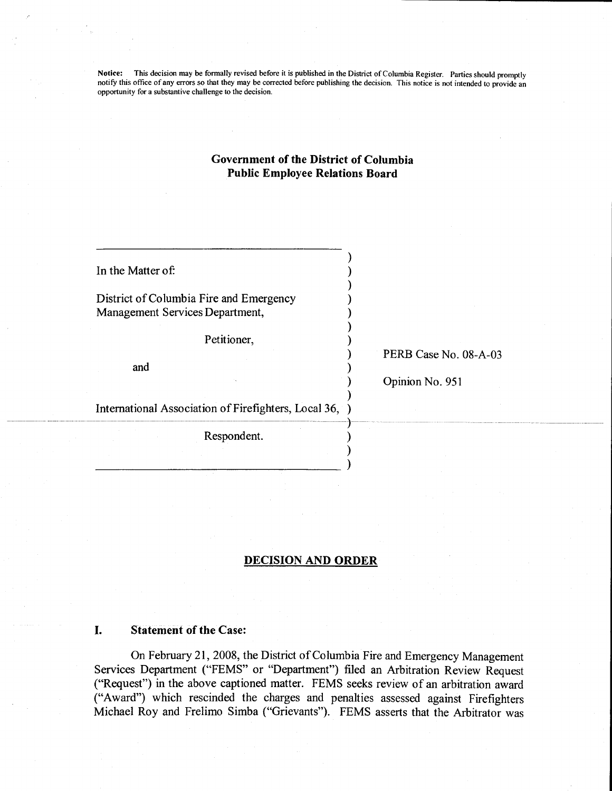Notice: This decision may be formally revised before it is published in the District of Columbia Register. Parties should promptly notify this office of any errors so that they may be corrected before publishing the decision. This notice is not intended to provide an opportunity for a substantive challenge to the decision.

# Government of the District of Columbia Public Employee Relations Board

| Petitioner,<br>and                                     | PERB Case No. 08-A-03<br>Opinion No. 951 |
|--------------------------------------------------------|------------------------------------------|
| International Association of Firefighters, Local 36, ) |                                          |
| Respondent.                                            |                                          |

## DECISION AND ORDER

#### I. Statement of the Case:

On February 21, 2008, the District of Columbia Fire and Emergency Management Services Department ("FEMS" or "Department") filed an Arbitration Review Request ("Request") in the above captioned matter. FEMS seeks review of an arbitration award ("Award") which rescinded the charges and penalties assessed against Firefighters Michael Roy and Frelimo Simba ("Grievants"). FEMS asserts that the Arbitrator was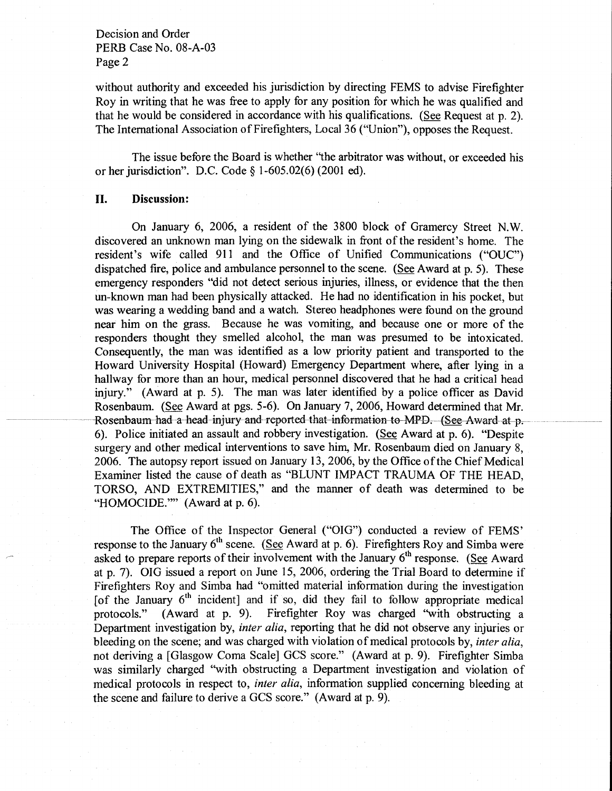without authority and exceeded his jurisdiction by directing FEMS to advise Firefighter Roy in writing that he was free to apply for any position for which he was qualified and that he would be considered in accordance with his qualifications. (See Request at p. 2). The International Association of Firefighters, Local 36 ("Union"), opposes the Request.

The issue before the Board is whether "the arbitrator was without, or exceeded his orher jurisdiction". D.C. Code \$ 1-605.02(6) (2001 ed).

## II. Discussion:

On January 6, 2006, a resident of the 3800 block of Gramercy Street N.W. discovered an unknown man lying on the sidewalk in front of the resident's home. The resident's wife called 911 and the Office of Unified Communications ("OUC") dispatched fire, police and ambulance personnel to the scene. (See Award at p. 5). These emergency responders "did not detect serious injuries, illness, or evidence that the then un-known man had been physically attacked. He had no identification in his pocket, but was wearing a wedding band and a watch. Stereo headphones were found on the ground near him on the grass. Because he was vomiting, and because one or more of the responders thought they smelled alcohol, the man was presumed to be intoxicated. Consequently, the man was identified as a low priority patient and transported to the Howard University Hospital (Howard) Emergency Department where, after lying in <sup>a</sup> hallway for more than an hour, medical personnel discovered that he had a critical head injury." (Award at p. 5). The man was later identified by a police officer as David Rosenbaum. (See Award at pgs. 5-6). On January 7,2006, Howard determined that Mr. Rosenbaum-had a-head injury and reported that information to MPD. (See Award at p. 6). Police initiated an assault and robbery investigation. (See Award at p. 6). "Despite surgery and other medical interventions to save hirn, Mr. Rosenbaum died on January 8, 2006. The autopsy report issued on January 13,2006, by the Offrce of the Chief Medical Examiner listed the cause of death as "BLUNT IMPACT TRAUMA OF THE HEAD, TORSO, AND EXTREMITIES," and the manner of death was determined to be "HOMOCIDE."" (Award at p. 6).

The Office of the Inspector General ("OIG") conducted a review of FEMS' response to the January  $6<sup>th</sup>$  scene. (See Award at p. 6). Firefighters Roy and Simba were asked to prepare reports of their involvement with the January  $6<sup>th</sup>$  response. (See Award at p. 7). OIG issued a report on June 15, 2006, ordering the Trial Board to determine if Firefighters Roy and Simba had 'bmitted material information during the investigation [of the January  $6<sup>th</sup>$  incident] and if so, did they fail to follow appropriate medical protocols." (Award at p. 9). Firefighter Roy was charged "with obstructing a Firefighter Roy was charged "with obstructing a Department investigation by, *inter alia*, reporting that he did not observe any injuries or bleeding on the scene; and was charged with violation of medical protocols by, *inter alia*, not deriving a [Glasgow Coma Scale] GCS score." (Award at p. 9). Firefighter Simba was similarly charged "with obstructing a Department investigation and violation of medical protocols in respect to, *inter alia*, information supplied concerning bleeding at the scene and failure to derive a GCS score." (Award at p. 9).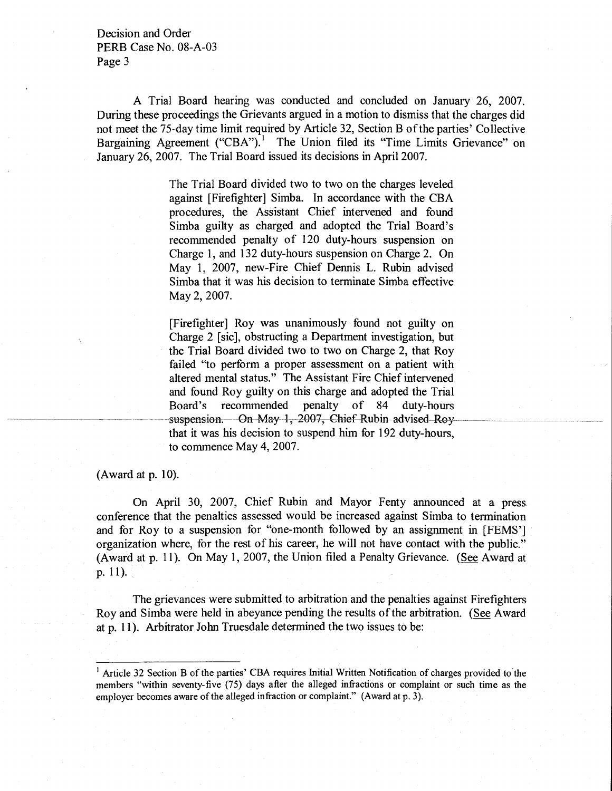A Trial Board hearing was conducted and concluded on January 26, 2007. During these proceedings the Grievants argued in a motion to dismiss that the charges did not meet the 75-day time limit required by Article 32, Section B of the parties' Collective Bargaining Agreement ("CBA").<sup>1</sup> The Union filed its "Time Limits Grievance" on January 26, 2007. The Trial Board issued its decisions in April 2007.

> The Trial Board divided two to two on the charges leveled against [Firefighter] Simba. In accordance with the CBA procedures, the Assistant Chief intervened and found Simba guilty as charged and adopted the Trial Board's recommended penalty of 120 duty-hours suspension on Charge 1, and 132 duty-hours suspension on Charge 2. On May 1, 2007, new-Fire Chief Dennis L. Rubin advised Simba that it was his decision to terminate Simba effective May 2, 2007.

> [Firefighter] Roy was unanimously found not guilty on . Charge 2 [sic], obstructing a Department investigation, but the Trial Board divided two to two on Charge 2, that Roy failed "to perform a proper assessment on a patient with altered mental status." The Assistant Fire Chief intervened and found Roy guilty on this charge and adopted the Trial Board's recommended penalty of 84 duty-hours<br>suspension. On May 1, 2007, Chief Rubin advised Roy that it was his decision to suspend him for 192 duty-hours, to commence May 4, 2007.

(Award at  $p. 10$ ).

On April 30, 2007, Chief Rubin and Mayor Fenty announced at a press conference that the penalties assessed would be increased against Simba to termination and for Roy to a suspension for 'bne-month followed by an assignment in [FEMS'] organization where, for the rest of his career, he will not have contact with the public." (Award at p. 11). On May 1, 2007, the Union filed a Penalty Grievance. (See Award at p. 1l).

The grievances were submitted to arbitration and the penalties against Firefighters Roy and Simba were held in abeyance pending the results of the arbitration. (See Award at p. 11). Arbitrator John Truesdale determined the two issues to be:

<sup>&#</sup>x27; Article 32 Section B of the parties'CBA requires Initial Written Notification of charges provided to the members "within seventy-five (75) days after the alleged infractions or complaint or such time as the employer becomes aware of the alleged infraction or complaint." (Award at p. 3).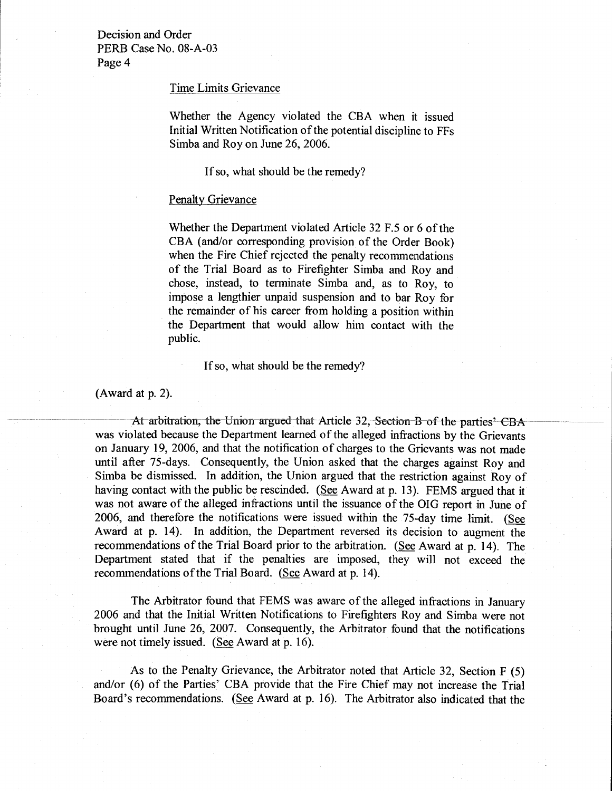### Time Limits Grievance

Whether the Agency violated the CBA when it issued Initial Written Notification of the potential discipline to FFs Simba and Roy on June 26,2006.

If so, what should be the remedy?

## Penalty Grievance

Whether the Department violated Article 32 F.5 or 6 of the CBA (and/or corresponding provision of the Order Book) when the Fire Chief rejected the penalty recommendations of the Trial Board as to Firefighter Simba and Roy and chose, instead, to terminate Simba and, as to Roy, to impose a lengthier unpaid suspension and to bar Roy for the remainder of his career from holding a position within the Department that would allow him contact with the public.

lf so, what should be the remedy?

 $(Award at p. 2)$ .

At arbitration, the Union argued that Article 32, Section B of the parties' CBA was violated because the Department learned of the alleged infractions by the Grievants on January 19, 2006, and that the notification of charges to the Grievants was not made until after 75-days. Consequently, the Union asked that the charges against Roy and Simba be dismissed. In addition, the Union argued that the restriction against Roy of having contact with the public be rescinded. (See Award at p. 13). FEMS argued that it was not aware of the alleged infractions until the issuance of the OIG report in June of 2006, and therefore the notifications were issued within the 75-day time limit. (See Award at p. 14). In addition, the Department reversed its decision to augment the recommendations of the Trial Board prior to the arbitration. (See Award at p. 14). The Department stated that if the penalties are imposed, they will not exceed the recommendations of the Trial Board. (See Award at p. 14).

The Arbitrator found that FEMS was aware of the alleged infractions in January 2006 and that the Initial Written Notifications to Firefighters Roy and Simba were not brought until June 26, 2007. Consequently, the Arbitrator found that the notifications were not timely issued. (See Award at p. 16).

As to the Penalty Grievance, the Arbitrator noted that Article 32, Section F (5) and/or (6) of the Parties' CBA provide that the Fire Chief may not increase the Trial Board's recommendations. (See Award at p. 16). The Arbitrator also indicated that the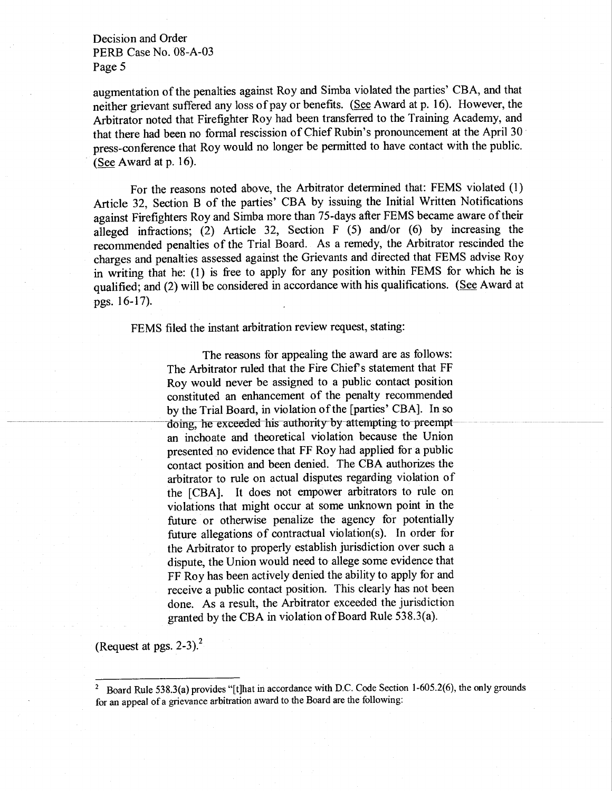augmentation of the penalties against Roy and Simba violated the parties' CBA, and that neither grievant suffered any loss of pay or benefits. (See Award at p. l6). However, the Arbitrator noted that Firefighter Roy had been transferred to the Training Academy, and that there had been no formal rescission of Chief Rubin's pronouncement at the April <sup>30</sup> press-conference that Roy would no longer be permitted to have contact with the public. (See Award at p. 16).

For the reasons noted above, the Arbitrator determined that: FEMS violated (l) Article 32, Section B of the parties' CBA by issuing the Initial Written Notifications against Firefighters Roy and Simba more than 75-days after FEMS became aware of their aileged infractions; (2) Article 32, Section F (5) and/or (6) by increasing the recommended penalties of the Trial Board. As a remedy, the Arbitrator rescinded the charges and penalties assessed against the Grievants and directed that FEMS advise Roy in writing that he: (1) is free to apply for any position within FEMS for which he is qualified; and (2) will be considered in accordance with his qualifications. (See Award at pgs. I 6-17).

FEMS filed the instant arbitration review request, stating:

The reasons for appealing the award are as follows: The Arbitrator ruled that the Fire Chief s statement that FF Roy would never be assigned to a public contact position constituted an enhancement of the penalty recommended by the Trial Board, in violation of the [parties' CBA]. In so doing, he exceeded his authority by attempting to preempt an inchoate and theoretical violation because the Union presented no evidence that FF Roy had applied for a public contact position and been denied. The CBA authorizes the arbitrator to rule on actual disputes regarding violation of the [CBA]. It does not empower arbitrators to rule on violations that might occur at some unknown point in the future or otherwise penalize the agency for potentially future allegations of contractual violation(s). In order for the Arbitrator to properly establish jurisdiction over such <sup>a</sup> dispute, the Union would need to'allege some evidence that FF Roy has been actively denied the ability to apply for and receive a public contact position. This clearly has not been done. As a result, the Arbitrator exceeded the jurisdiction granted by the CBA in violation of Board Rule 538.3(a).

(Request at pgs.  $2-3$ ).<sup>2</sup>

<sup>&</sup>lt;sup>2</sup> Board Rule 538.3(a) provides "[t]hat in accordance with D.C. Code Section 1-605.2(6), the only grounds for an appeal of a grievance arbitration award to the Board are the following: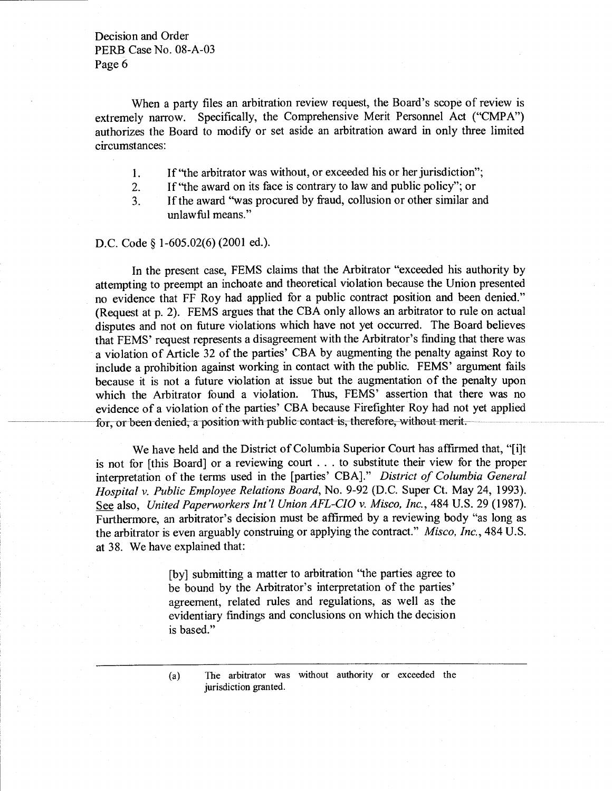When a party files an arbitration review request, the Board's scope of review is extremely narrow. Specifically, the Comprehensive Merit Personnel Act ("CMPA") authorizes the Board to modify or set aside an arbitration award in only three limited circumstances:

- If "the arbitrator was without, or exceeded his or her jurisdiction"; l.
- If "the award on its face is contrary to law and public policy"; or 2.
- If the award "was procured by fraud, collusion or other similar and unlawful means." 3.

D.C. Code § 1-605.02(6) (2001 ed.).

In the present case, FEMS claims that the Arbitrator "exceeded his authority by attempting to preempt an inchoate and theoretical violation because the Union presented no evidence that FF Roy had applied for a public contract position and been denied." (Request at p.2). FEMS argues that the CBA only allows an arbitrator to rule on actual disputes and not on future violations which have not yet occurred. The Board believes that FEMS' request represents a disagreement with the Arbitrator's finding that there was a violation of Article 32 of the parties' CBA by augmenting the penalty against Roy to include a prohibition against working in contact with the public. FEMS' argument fails because it is not a future violation at issue but the augmentation of the penalty upon which the Arbitrator found a violation. Thus, FEMS' assertion that there was no which the Arbitrator found a violation. evidence of a violation of the parties' CBA because Firefighter Roy had not yet applied for, or been denied, a position with public contact is, therefore, without merit.

We have held and the District of Columbia Superior Court has affirmed that, "[i]t is not for [this Board] or a reviewing court . . . to substitute their view for the proper interpretation of the terms used in the fparties' CBA]." District of Columbia General Hospital v. Public Employee Relations Board, No. 9-92 (D.C. Super Ct. May 24,1993). See also, United Paperworkers Int'l Union AFL-CIO v. Misco, Inc., 484 U.S. 29 (1987). Furthermore, an arbitrator's decision must be affirmed by a reviewing body "as long as the arbitrator is even arguably construing or applying the contract." Misco, Inc., 484U.5. at 38. We have explained that:

> [by] submitting a matter to arbitration 'the parties agree to be bound by the Arbitrator's interpretation of the parties' agreement, related rules and regulations, as well as the evidentiary findings and conclusions on which the decision is based."

(a) The arbitrator was without authority or exceeded the jurisdiction granted.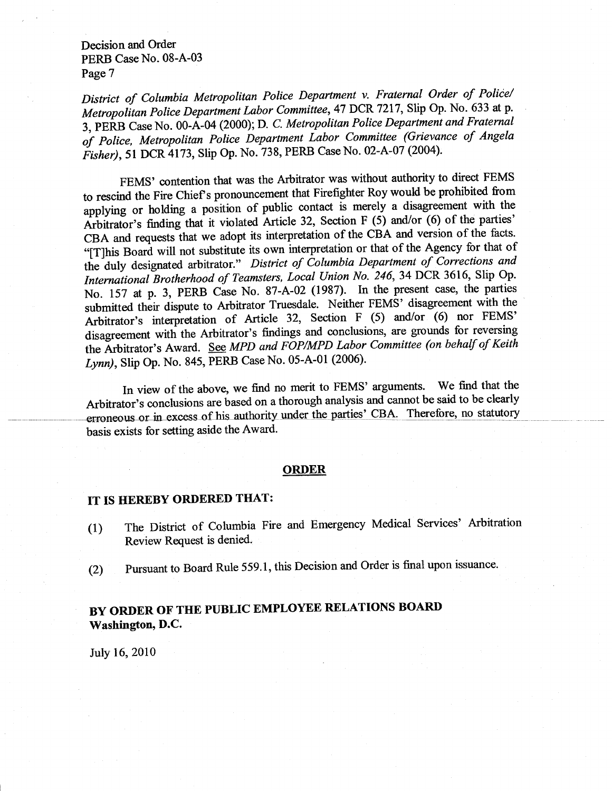District of Columbia Metropolitan Police Department v. Fraternal Order of Police/ Metropolitan Police Department Labor Committee, 47 DCR 7217, Slip Op. No. 633 at p. 3, PERB Case No. OO-A-O+ (2000); D. C. Metropolitan Police Department and Fraternal of Police, Metropolitan Police Department Labor Committee (Grievance of Angela Fisher), 51 DCR 4173, Slip Op. No. 738, PERB Case No. 02-A-07 (2004).

FEMS' contention that was the Arbitrator was without authority to direct FEMS to rescind the Fire Chief's pronouncement that Firefighter Roy would be prohibited from applying or holding a position of public contact is merely a disagreement with the Arbitrator's finding that it violated Article 32, Section F (5) and/or (6) of the parties' CBA and requests that we adopt its interpretation of the CBA and version of the facts. "[T]his Board will not substitute its own interpretation or that of the Agency for that of th International Brotherhood of Teamsters, Local Union No. 246, 34 DCR 3616, Slip Op. Inis Board will not substitute its own interpretation of that of the rightly less and<br>duly designated arbitrator." District of Columbia Department of Corrections and No. 157 at p. 3, pERB Case No. 87-A-02 (1987). In the present case, the parties submitted their dispute to Arbitrator Truesdale. Neither FEMS' disagreement with the Arbitrator's interpretation of Article 32, Section F (5) and/or (6) nor FEMS' disagreement with the Arbitrator's findings and conclusions, are grounds for reversing the Arbitrator's Award. See MPD and FOP/MPD Labor Committee (on behalf of Keith Lynn), Slip Op. No. 845, PERB Case No. 05-A-01 (2006).

In view of the above, we find no merit to FEMS' arguments. We find that the Arbitrator's conclusions are based on a thorough analysis and cannot be said to be clearly erroneous or in excess of his authority under the parties' CBA. Therefore, no statutory basis exists for setting aside the Award.

#### ORDER

# IT IS HEREBY ORDERED THAT:

- (1) The District of Columbia Fire and Emergency Medical Services' Arbitration Review Request is denied.
- (2) pursuant to Board Rule 559.1, this Decision and Order is final upon issuance.

# BY ORDER OF TIIE PUBLIC EMPLOYEE RELATIONS BOARI) Washington, D.C.

July 16, 2010